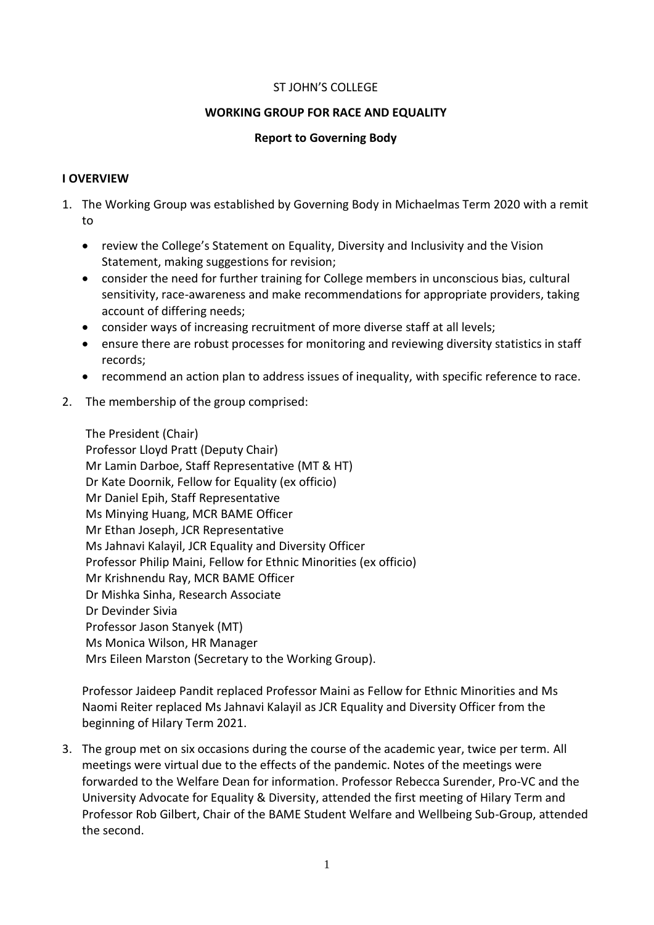#### ST JOHN'S COLLEGE

#### **WORKING GROUP FOR RACE AND EQUALITY**

#### **Report to Governing Body**

#### **I OVERVIEW**

- 1. The Working Group was established by Governing Body in Michaelmas Term 2020 with a remit to
	- review the College's Statement on Equality, Diversity and Inclusivity and the Vision Statement, making suggestions for revision;
	- consider the need for further training for College members in unconscious bias, cultural sensitivity, race-awareness and make recommendations for appropriate providers, taking account of differing needs;
	- consider ways of increasing recruitment of more diverse staff at all levels;
	- ensure there are robust processes for monitoring and reviewing diversity statistics in staff records;
	- recommend an action plan to address issues of inequality, with specific reference to race.
- 2. The membership of the group comprised:

The President (Chair) Professor Lloyd Pratt (Deputy Chair) Mr Lamin Darboe, Staff Representative (MT & HT) Dr Kate Doornik, Fellow for Equality (ex officio) Mr Daniel Epih, Staff Representative Ms Minying Huang, MCR BAME Officer Mr Ethan Joseph, JCR Representative Ms Jahnavi Kalayil, JCR Equality and Diversity Officer Professor Philip Maini, Fellow for Ethnic Minorities (ex officio) Mr Krishnendu Ray, MCR BAME Officer Dr Mishka Sinha, Research Associate Dr Devinder Sivia Professor Jason Stanyek (MT) Ms Monica Wilson, HR Manager Mrs Eileen Marston (Secretary to the Working Group).

Professor Jaideep Pandit replaced Professor Maini as Fellow for Ethnic Minorities and Ms Naomi Reiter replaced Ms Jahnavi Kalayil as JCR Equality and Diversity Officer from the beginning of Hilary Term 2021.

3. The group met on six occasions during the course of the academic year, twice per term. All meetings were virtual due to the effects of the pandemic. Notes of the meetings were forwarded to the Welfare Dean for information. Professor Rebecca Surender, Pro-VC and the University Advocate for Equality & Diversity, attended the first meeting of Hilary Term and Professor Rob Gilbert, Chair of the BAME Student Welfare and Wellbeing Sub-Group, attended the second.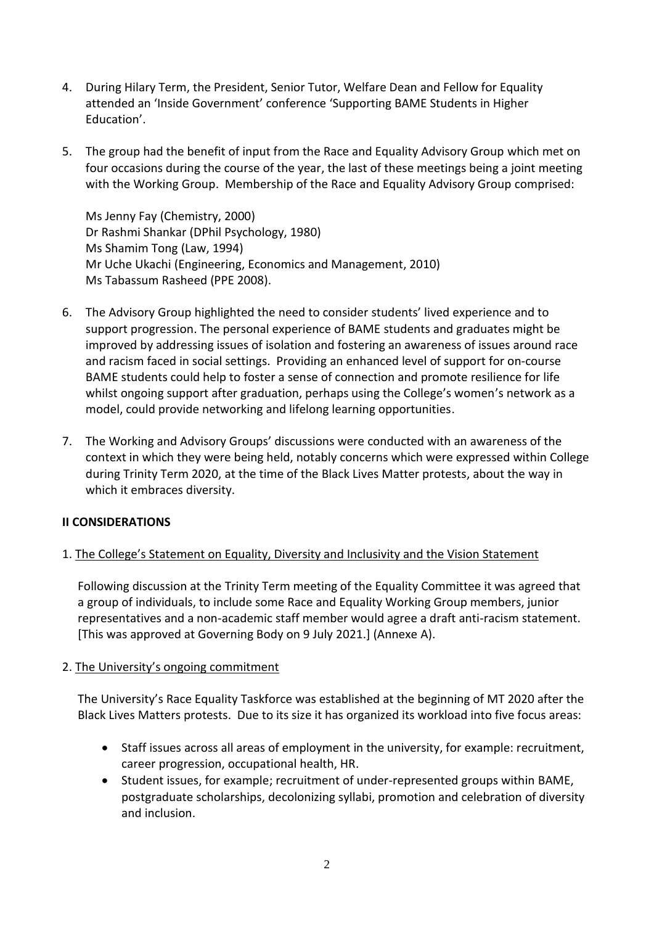- 4. During Hilary Term, the President, Senior Tutor, Welfare Dean and Fellow for Equality attended an 'Inside Government' conference 'Supporting BAME Students in Higher Education'.
- 5. The group had the benefit of input from the Race and Equality Advisory Group which met on four occasions during the course of the year, the last of these meetings being a joint meeting with the Working Group. Membership of the Race and Equality Advisory Group comprised:

Ms Jenny Fay (Chemistry, 2000) Dr Rashmi Shankar (DPhil Psychology, 1980) Ms Shamim Tong (Law, 1994) Mr Uche Ukachi (Engineering, Economics and Management, 2010) Ms Tabassum Rasheed (PPE 2008).

- 6. The Advisory Group highlighted the need to consider students' lived experience and to support progression. The personal experience of BAME students and graduates might be improved by addressing issues of isolation and fostering an awareness of issues around race and racism faced in social settings. Providing an enhanced level of support for on-course BAME students could help to foster a sense of connection and promote resilience for life whilst ongoing support after graduation, perhaps using the College's women's network as a model, could provide networking and lifelong learning opportunities.
- 7. The Working and Advisory Groups' discussions were conducted with an awareness of the context in which they were being held, notably concerns which were expressed within College during Trinity Term 2020, at the time of the Black Lives Matter protests, about the way in which it embraces diversity.

### **II CONSIDERATIONS**

#### 1. The College's Statement on Equality, Diversity and Inclusivity and the Vision Statement

Following discussion at the Trinity Term meeting of the Equality Committee it was agreed that a group of individuals, to include some Race and Equality Working Group members, junior representatives and a non-academic staff member would agree a draft anti-racism statement. [This was approved at Governing Body on 9 July 2021.] (Annexe A).

#### 2. The University's ongoing commitment

The University's Race Equality Taskforce was established at the beginning of MT 2020 after the Black Lives Matters protests. Due to its size it has organized its workload into five focus areas:

- Staff issues across all areas of employment in the university, for example: recruitment, career progression, occupational health, HR.
- Student issues, for example; recruitment of under-represented groups within BAME, postgraduate scholarships, decolonizing syllabi, promotion and celebration of diversity and inclusion.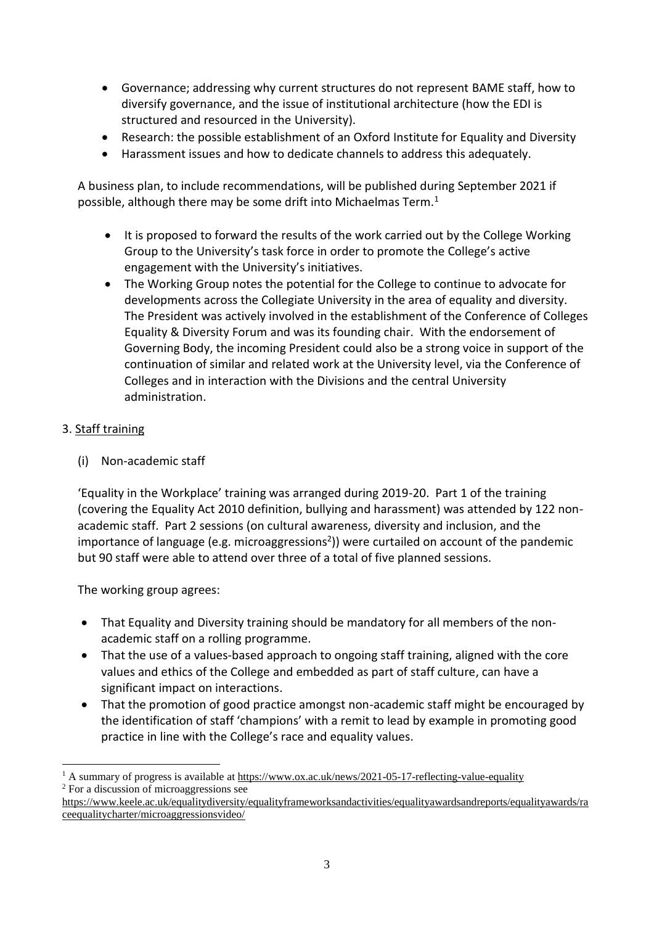- Governance; addressing why current structures do not represent BAME staff, how to diversify governance, and the issue of institutional architecture (how the EDI is structured and resourced in the University).
- Research: the possible establishment of an Oxford Institute for Equality and Diversity
- Harassment issues and how to dedicate channels to address this adequately.

A business plan, to include recommendations, will be published during September 2021 if possible, although there may be some drift into Michaelmas Term.<sup>1</sup>

- It is proposed to forward the results of the work carried out by the College Working Group to the University's task force in order to promote the College's active engagement with the University's initiatives.
- The Working Group notes the potential for the College to continue to advocate for developments across the Collegiate University in the area of equality and diversity. The President was actively involved in the establishment of the Conference of Colleges Equality & Diversity Forum and was its founding chair. With the endorsement of Governing Body, the incoming President could also be a strong voice in support of the continuation of similar and related work at the University level, via the Conference of Colleges and in interaction with the Divisions and the central University administration.

## 3. Staff training

(i) Non-academic staff

'Equality in the Workplace' training was arranged during 2019-20. Part 1 of the training (covering the Equality Act 2010 definition, bullying and harassment) was attended by 122 nonacademic staff. Part 2 sessions (on cultural awareness, diversity and inclusion, and the importance of language (e.g. microaggressions<sup>2</sup>)) were curtailed on account of the pandemic but 90 staff were able to attend over three of a total of five planned sessions.

The working group agrees:

- That Equality and Diversity training should be mandatory for all members of the nonacademic staff on a rolling programme.
- That the use of a values-based approach to ongoing staff training, aligned with the core values and ethics of the College and embedded as part of staff culture, can have a significant impact on interactions.
- That the promotion of good practice amongst non-academic staff might be encouraged by the identification of staff 'champions' with a remit to lead by example in promoting good practice in line with the College's race and equality values.

<sup>1</sup> A summary of progress is available a[t https://www.ox.ac.uk/news/2021-05-17-reflecting-value-equality](https://www.ox.ac.uk/news/2021-05-17-reflecting-value-equality) <sup>2</sup> For a discussion of microaggressions see

https://www.keele.ac.uk/equalitydiversity/equalityframeworksandactivities/equalityawardsandreports/equalityawards/ra ceequalitycharter/microaggressionsvideo/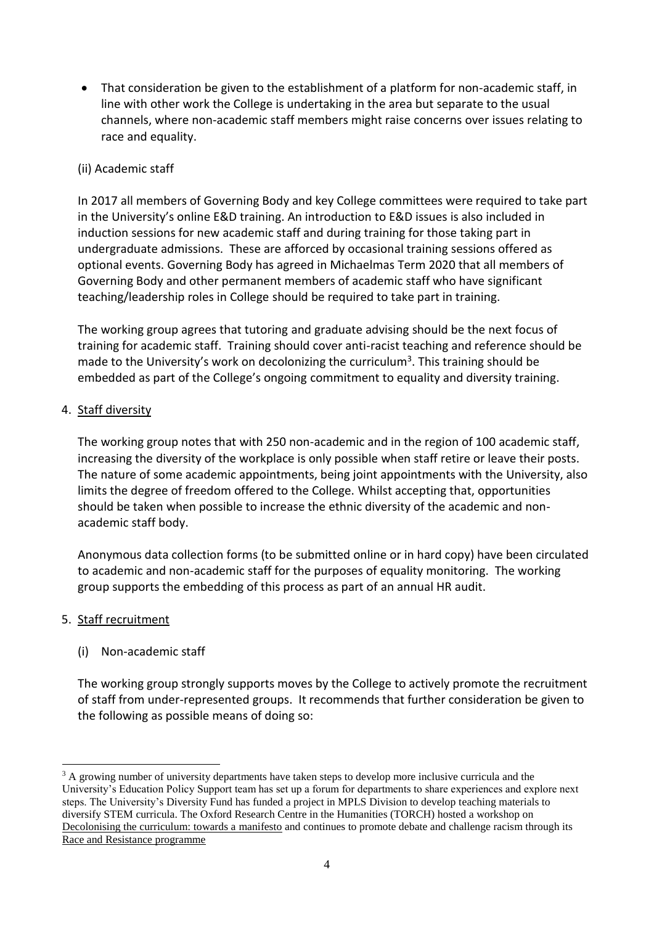That consideration be given to the establishment of a platform for non-academic staff, in line with other work the College is undertaking in the area but separate to the usual channels, where non-academic staff members might raise concerns over issues relating to race and equality.

### (ii) Academic staff

In 2017 all members of Governing Body and key College committees were required to take part in the University's online E&D training. An introduction to E&D issues is also included in induction sessions for new academic staff and during training for those taking part in undergraduate admissions. These are afforced by occasional training sessions offered as optional events. Governing Body has agreed in Michaelmas Term 2020 that all members of Governing Body and other permanent members of academic staff who have significant teaching/leadership roles in College should be required to take part in training.

The working group agrees that tutoring and graduate advising should be the next focus of training for academic staff. Training should cover anti-racist teaching and reference should be made to the University's work on decolonizing the curriculum<sup>3</sup>. This training should be embedded as part of the College's ongoing commitment to equality and diversity training.

### 4. Staff diversity

The working group notes that with 250 non-academic and in the region of 100 academic staff, increasing the diversity of the workplace is only possible when staff retire or leave their posts. The nature of some academic appointments, being joint appointments with the University, also limits the degree of freedom offered to the College. Whilst accepting that, opportunities should be taken when possible to increase the ethnic diversity of the academic and nonacademic staff body.

Anonymous data collection forms (to be submitted online or in hard copy) have been circulated to academic and non-academic staff for the purposes of equality monitoring. The working group supports the embedding of this process as part of an annual HR audit.

### 5. Staff recruitment

### (i) Non-academic staff

The working group strongly supports moves by the College to actively promote the recruitment of staff from under-represented groups. It recommends that further consideration be given to the following as possible means of doing so:

<sup>-</sup><sup>3</sup> A growing number of university departments have taken steps to develop more inclusive curricula and the University's Education Policy Support team has set up a forum for departments to share experiences and explore next steps. The University's Diversity Fund has funded a project in MPLS Division to develop teaching materials to diversify STEM curricula. The Oxford Research Centre in the Humanities (TORCH) hosted a workshop on [Decolonising the curriculum: towards a](https://www.torch.ox.ac.uk/event/decolonising-the-curriculum-towards-a-manifesto) manifesto and continues to promote debate and challenge racism through its [Race and Resistance programme](https://www.torch.ox.ac.uk/race-and-resistance-across-borders-in-the-long-twentieth-century#/)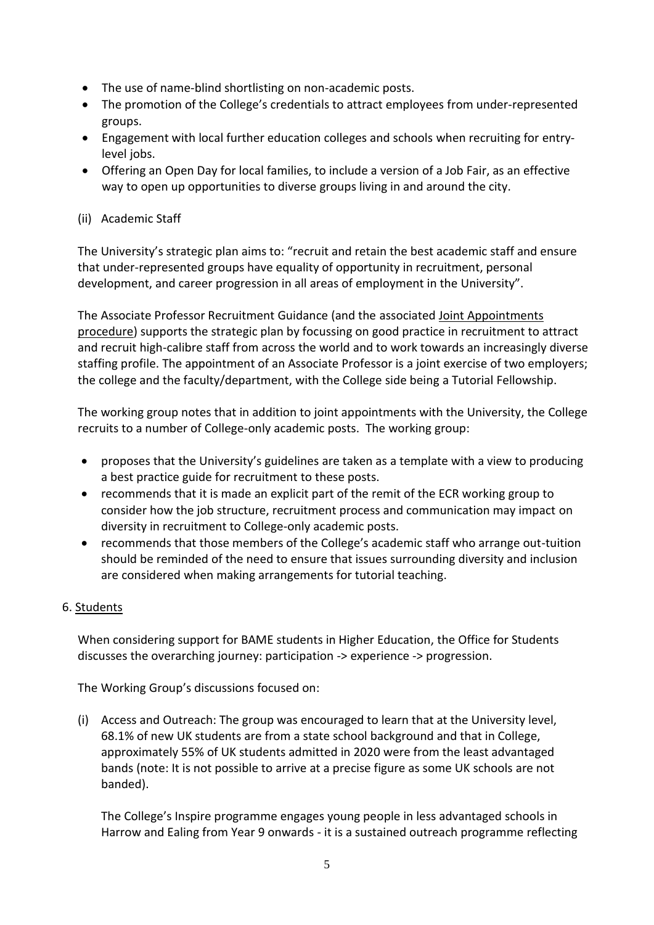- The use of name-blind shortlisting on non-academic posts.
- The promotion of the College's credentials to attract employees from under-represented groups.
- Engagement with local further education colleges and schools when recruiting for entrylevel jobs.
- Offering an Open Day for local families, to include a version of a Job Fair, as an effective way to open up opportunities to diverse groups living in and around the city.

### (ii) Academic Staff

The University's strategic plan aims to: "recruit and retain the best academic staff and ensure that under-represented groups have equality of opportunity in recruitment, personal development, and career progression in all areas of employment in the University".

The Associate Professor Recruitment Guidance (and the associated [Joint Appointments](https://hr.admin.ox.ac.uk/joint-appointment-procedures)  [procedure\)](https://hr.admin.ox.ac.uk/joint-appointment-procedures) supports the strategic plan by focussing on good practice in recruitment to attract and recruit high-calibre staff from across the world and to work towards an increasingly diverse staffing profile. The appointment of an Associate Professor is a joint exercise of two employers; the college and the faculty/department, with the College side being a Tutorial Fellowship.

The working group notes that in addition to joint appointments with the University, the College recruits to a number of College-only academic posts. The working group:

- proposes that the University's guidelines are taken as a template with a view to producing a best practice guide for recruitment to these posts.
- recommends that it is made an explicit part of the remit of the ECR working group to consider how the job structure, recruitment process and communication may impact on diversity in recruitment to College-only academic posts.
- recommends that those members of the College's academic staff who arrange out-tuition should be reminded of the need to ensure that issues surrounding diversity and inclusion are considered when making arrangements for tutorial teaching.

#### 6. Students

When considering support for BAME students in Higher Education, the Office for Students discusses the overarching journey: participation -> experience -> progression.

The Working Group's discussions focused on:

(i) Access and Outreach: The group was encouraged to learn that at the University level, 68.1% of new UK students are from a state school background and that in College, approximately 55% of UK students admitted in 2020 were from the least advantaged bands (note: It is not possible to arrive at a precise figure as some UK schools are not banded).

The College's Inspire programme engages young people in less advantaged schools in Harrow and Ealing from Year 9 onwards - it is a sustained outreach programme reflecting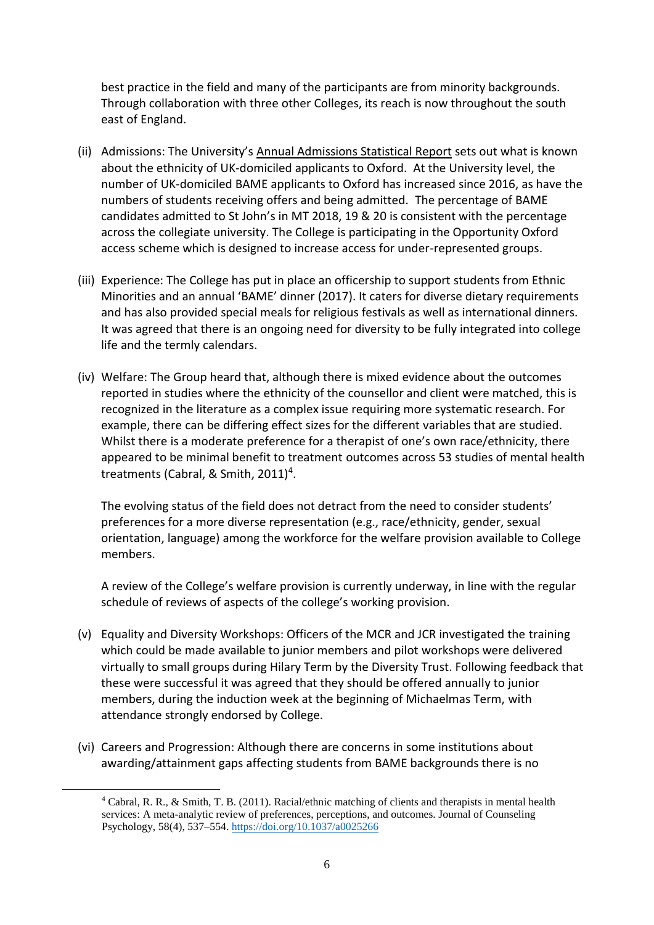best practice in the field and many of the participants are from minority backgrounds. Through collaboration with three other Colleges, its reach is now throughout the south east of England.

- (ii) Admissions: The University's [Annual Admissions Statistical Report](https://www.ox.ac.uk/sites/files/oxford/AnnualAdmissionsStatisticalReport2021.pdf) sets out what is known about the ethnicity of UK-domiciled applicants to Oxford. At the University level, the number of UK-domiciled BAME applicants to Oxford has increased since 2016, as have the numbers of students receiving offers and being admitted. The percentage of BAME candidates admitted to St John's in MT 2018, 19 & 20 is consistent with the percentage across the collegiate university. The College is participating in the Opportunity Oxford access scheme which is designed to increase access for under-represented groups.
- (iii) Experience: The College has put in place an officership to support students from Ethnic Minorities and an annual 'BAME' dinner (2017). It caters for diverse dietary requirements and has also provided special meals for religious festivals as well as international dinners. It was agreed that there is an ongoing need for diversity to be fully integrated into college life and the termly calendars.
- (iv) Welfare: The Group heard that, although there is mixed evidence about the outcomes reported in studies where the ethnicity of the counsellor and client were matched, this is recognized in the literature as a complex issue requiring more systematic research. For example, there can be differing effect sizes for the different variables that are studied. Whilst there is a moderate preference for a therapist of one's own race/ethnicity, there appeared to be minimal benefit to treatment outcomes across 53 studies of mental health treatments (Cabral, & Smith, 2011)<sup>4</sup>.

The evolving status of the field does not detract from the need to consider students' preferences for a more diverse representation (e.g., race/ethnicity, gender, sexual orientation, language) among the workforce for the welfare provision available to College members.

A review of the College's welfare provision is currently underway, in line with the regular schedule of reviews of aspects of the college's working provision.

- (v) Equality and Diversity Workshops: Officers of the MCR and JCR investigated the training which could be made available to junior members and pilot workshops were delivered virtually to small groups during Hilary Term by the Diversity Trust. Following feedback that these were successful it was agreed that they should be offered annually to junior members, during the induction week at the beginning of Michaelmas Term, with attendance strongly endorsed by College.
- (vi) Careers and Progression: Although there are concerns in some institutions about awarding/attainment gaps affecting students from BAME backgrounds there is no

<u>.</u>

<sup>4</sup> Cabral, R. R., & Smith, T. B. (2011). Racial/ethnic matching of clients and therapists in mental health services: A meta-analytic review of preferences, perceptions, and outcomes. Journal of Counseling Psychology, 58(4), 537–554.<https://doi.org/10.1037/a0025266>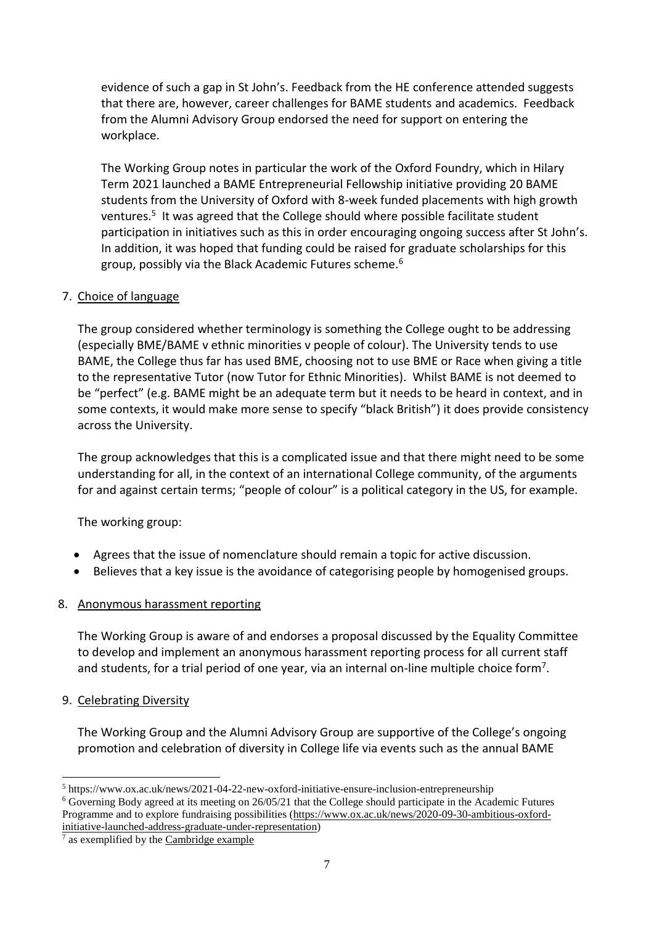evidence of such a gap in St John's. Feedback from the HE conference attended suggests that there are, however, career challenges for BAME students and academics. Feedback from the Alumni Advisory Group endorsed the need for support on entering the workplace.

The Working Group notes in particular the work of the Oxford Foundry, which in Hilary Term 2021 launched a BAME Entrepreneurial Fellowship initiative providing 20 BAME students from the University of Oxford with 8-week funded placements with high growth ventures.<sup>5</sup> It was agreed that the College should where possible facilitate student participation in initiatives such as this in order encouraging ongoing success after St John's. In addition, it was hoped that funding could be raised for graduate scholarships for this group, possibly via the Black Academic Futures scheme.<sup>6</sup>

### 7. Choice of language

The group considered whether terminology is something the College ought to be addressing (especially BME/BAME v ethnic minorities v people of colour). The University tends to use BAME, the College thus far has used BME, choosing not to use BME or Race when giving a title to the representative Tutor (now Tutor for Ethnic Minorities). Whilst BAME is not deemed to be "perfect" (e.g. BAME might be an adequate term but it needs to be heard in context, and in some contexts, it would make more sense to specify "black British") it does provide consistency across the University.

The group acknowledges that this is a complicated issue and that there might need to be some understanding for all, in the context of an international College community, of the arguments for and against certain terms; "people of colour" is a political category in the US, for example.

The working group:

- Agrees that the issue of nomenclature should remain a topic for active discussion.
- Believes that a key issue is the avoidance of categorising people by homogenised groups.

# 8. Anonymous harassment reporting

The Working Group is aware of and endorses a proposal discussed by the Equality Committee to develop and implement an anonymous harassment reporting process for all current staff and students, for a trial period of one year, via an internal on-line multiple choice form<sup>7</sup>.

### 9. Celebrating Diversity

The Working Group and the Alumni Advisory Group are supportive of the College's ongoing promotion and celebration of diversity in College life via events such as the annual BAME

<sup>1</sup> <sup>5</sup> https://www.ox.ac.uk/news/2021-04-22-new-oxford-initiative-ensure-inclusion-entrepreneurship

<sup>6</sup> Governing Body agreed at its meeting on 26/05/21 that the College should participate in the Academic Futures Programme and to explore fundraising possibilities [\(https://www.ox.ac.uk/news/2020-09-30-ambitious-oxford](https://www.ox.ac.uk/news/2020-09-30-ambitious-oxford-initiative-launched-address-graduate-under-representation)[initiative-launched-address-graduate-under-representation\)](https://www.ox.ac.uk/news/2020-09-30-ambitious-oxford-initiative-launched-address-graduate-under-representation)

 $<sup>7</sup>$  as exemplified by the [Cambridge example](https://www.studentcomplaints.admin.cam.ac.uk/anonymous-reporting-students-and-staff)</sup>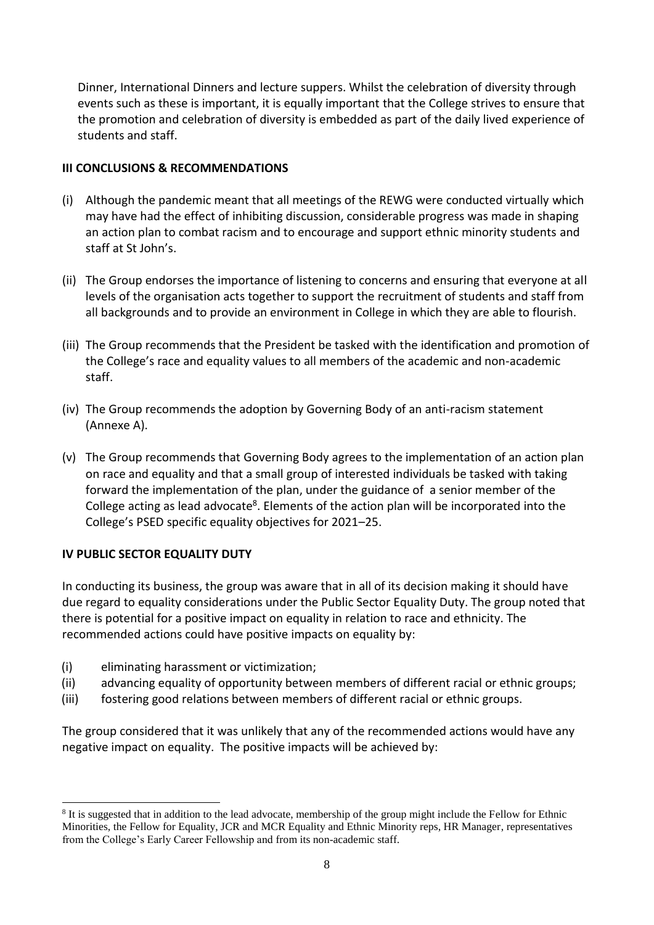Dinner, International Dinners and lecture suppers. Whilst the celebration of diversity through events such as these is important, it is equally important that the College strives to ensure that the promotion and celebration of diversity is embedded as part of the daily lived experience of students and staff.

## **III CONCLUSIONS & RECOMMENDATIONS**

- (i) Although the pandemic meant that all meetings of the REWG were conducted virtually which may have had the effect of inhibiting discussion, considerable progress was made in shaping an action plan to combat racism and to encourage and support ethnic minority students and staff at St John's.
- (ii) The Group endorses the importance of listening to concerns and ensuring that everyone at all levels of the organisation acts together to support the recruitment of students and staff from all backgrounds and to provide an environment in College in which they are able to flourish.
- (iii) The Group recommends that the President be tasked with the identification and promotion of the College's race and equality values to all members of the academic and non-academic staff.
- (iv) The Group recommends the adoption by Governing Body of an anti-racism statement (Annexe A).
- (v) The Group recommends that Governing Body agrees to the implementation of an action plan on race and equality and that a small group of interested individuals be tasked with taking forward the implementation of the plan, under the guidance of a senior member of the College acting as lead advocate<sup>8</sup>. Elements of the action plan will be incorporated into the College's PSED specific equality objectives for 2021–25.

# **IV PUBLIC SECTOR EQUALITY DUTY**

In conducting its business, the group was aware that in all of its decision making it should have due regard to equality considerations under the Public Sector Equality Duty. The group noted that there is potential for a positive impact on equality in relation to race and ethnicity. The recommended actions could have positive impacts on equality by:

- (i) eliminating harassment or victimization;
- (ii) advancing equality of opportunity between members of different racial or ethnic groups;
- (iii) fostering good relations between members of different racial or ethnic groups.

The group considered that it was unlikely that any of the recommended actions would have any negative impact on equality. The positive impacts will be achieved by:

<sup>-</sup><sup>8</sup> It is suggested that in addition to the lead advocate, membership of the group might include the Fellow for Ethnic Minorities, the Fellow for Equality, JCR and MCR Equality and Ethnic Minority reps, HR Manager, representatives from the College's Early Career Fellowship and from its non-academic staff.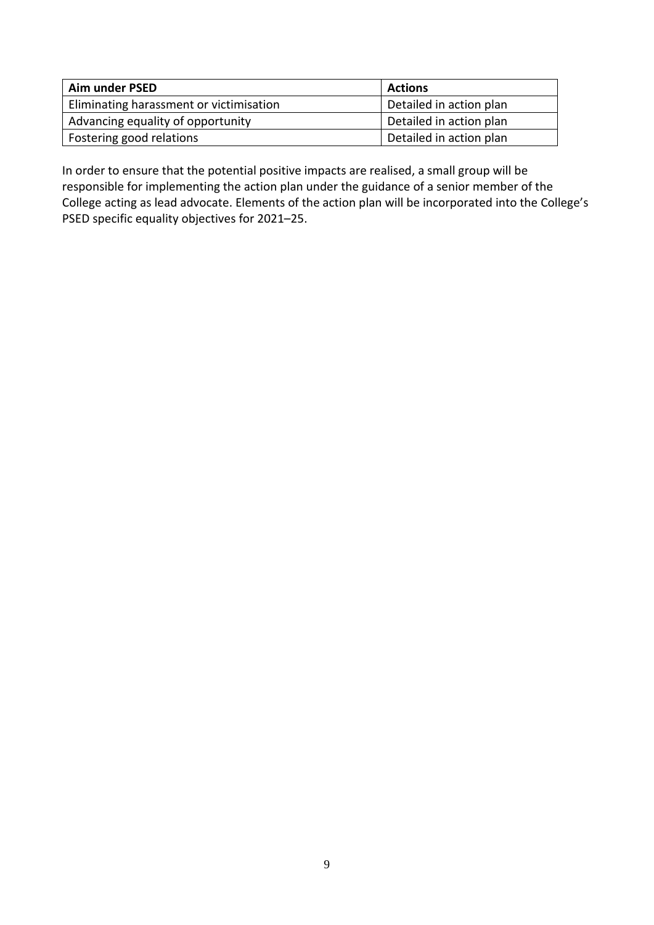| Aim under PSED                          | <b>Actions</b>          |
|-----------------------------------------|-------------------------|
| Eliminating harassment or victimisation | Detailed in action plan |
| Advancing equality of opportunity       | Detailed in action plan |
| Fostering good relations                | Detailed in action plan |

In order to ensure that the potential positive impacts are realised, a small group will be responsible for implementing the action plan under the guidance of a senior member of the College acting as lead advocate. Elements of the action plan will be incorporated into the College's PSED specific equality objectives for 2021–25.